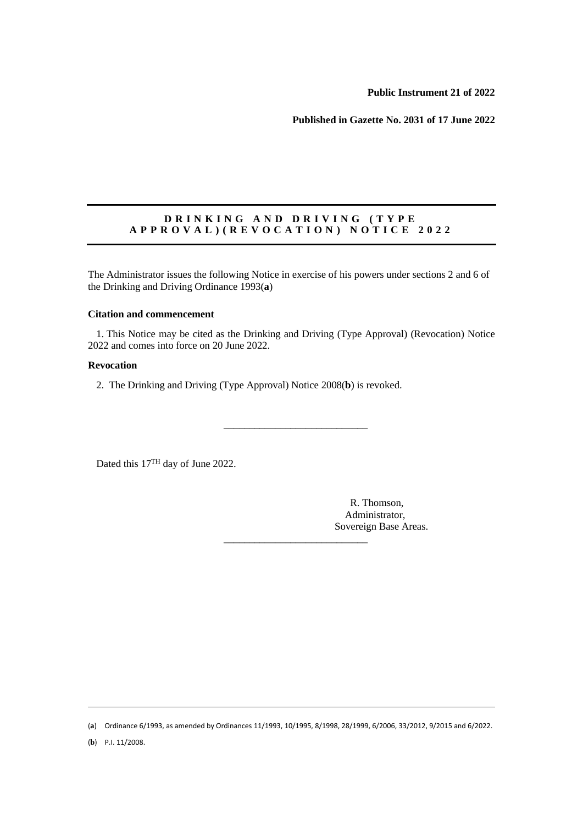**Public Instrument 21 of 2022**

**Published in Gazette No. 2031 of 17 June 2022**

## **D R I N K I N G A N D D R I V I N G ( T Y P E A P P R O V A L ) ( R E V O C A T I O N ) N O T I C E 2 0 2 2**

The Administrator issues the following Notice in exercise of his powers under sections 2 and 6 of the Drinking and Driving Ordinance 1993(**a**)

## **Citation and commencement**

1. This Notice may be cited as the Drinking and Driving (Type Approval) (Revocation) Notice 2022 and comes into force on 20 June 2022.

\_\_\_\_\_\_\_\_\_\_\_\_\_\_\_\_\_\_\_\_\_\_\_\_\_\_\_\_

\_\_\_\_\_\_\_\_\_\_\_\_\_\_\_\_\_\_\_\_\_\_\_\_\_\_\_\_

## **Revocation**

2. The Drinking and Driving (Type Approval) Notice 2008(**b**) is revoked.

Dated this 17TH day of June 2022.

 R. Thomson, Administrator, Sovereign Base Areas.

(**a**) Ordinance 6/1993, as amended by Ordinances 11/1993, 10/1995, 8/1998, 28/1999, 6/2006, 33/2012, 9/2015 and 6/2022.